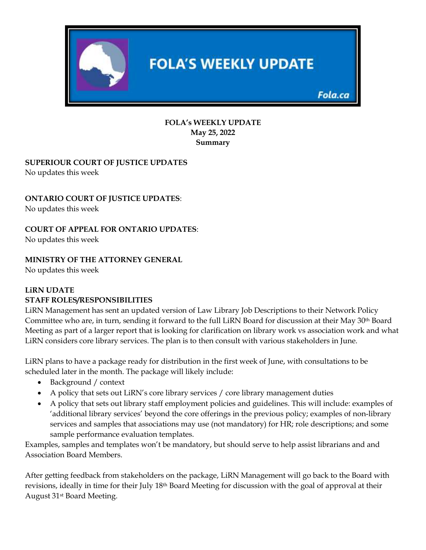

#### **FOLA's WEEKLY UPDATE May 25, 2022 Summary**

### **SUPERIOUR COURT OF JUSTICE UPDATES** No updates this week

# **ONTARIO COURT OF JUSTICE UPDATES**:

No updates this week

## **COURT OF APPEAL FOR ONTARIO UPDATES**:

No updates this week

## **MINISTRY OF THE ATTORNEY GENERAL**

No updates this week

#### **LiRN UDATE STAFF ROLES/RESPONSIBILITIES**

LiRN Management has sent an updated version of Law Library Job Descriptions to their Network Policy Committee who are, in turn, sending it forward to the full LiRN Board for discussion at their May 30th Board Meeting as part of a larger report that is looking for clarification on library work vs association work and what LiRN considers core library services. The plan is to then consult with various stakeholders in June.

LiRN plans to have a package ready for distribution in the first week of June, with consultations to be scheduled later in the month. The package will likely include:

- Background / context
- A policy that sets out LiRN's core library services / core library management duties
- A policy that sets out library staff employment policies and guidelines. This will include: examples of 'additional library services' beyond the core offerings in the previous policy; examples of non-library services and samples that associations may use (not mandatory) for HR; role descriptions; and some sample performance evaluation templates.

Examples, samples and templates won't be mandatory, but should serve to help assist librarians and and Association Board Members.

After getting feedback from stakeholders on the package, LiRN Management will go back to the Board with revisions, ideally in time for their July 18th Board Meeting for discussion with the goal of approval at their August 31st Board Meeting.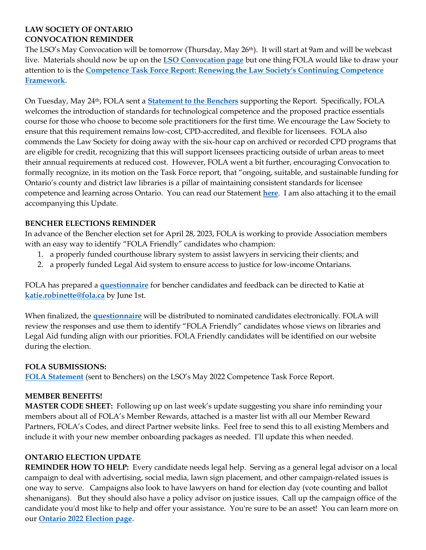# **LAW SOCIETY OF ONTARIO CONVOCATION REMINDER**

The LSO's May Convocation will be tomorrow (Thursday, May 26th). It will start at 9am and will be webcast live. Materials should now be up on the **[LSO Convocation page](https://lso.ca/about-lso/convocation/2022/may-26)** but one thing FOLA would like to draw your attention to is the **[Competence Task Force Report: Renewing the Law Society's Continuing Competence](https://lawsocietyontario.azureedge.net/media/lso/media/lawyers/enhancing-competence-cpd/competence%20tf%202022/tab-2-1-competence-task-force_renewing-the-law-society-s-continuing-competence-framework-may-2022_aoda.pdf)  [Framework](https://lawsocietyontario.azureedge.net/media/lso/media/lawyers/enhancing-competence-cpd/competence%20tf%202022/tab-2-1-competence-task-force_renewing-the-law-society-s-continuing-competence-framework-may-2022_aoda.pdf)**.

On Tuesday, May 24th, FOLA sent a **[Statement to the Benchers](https://img1.wsimg.com/blobby/go/63f6349d-d85d-4511-bc5f-4314d54b45d0/downloads/FOLA%20Statement%20re%20LSO%20Competence%20Task%20Force%20-%20.pdf?ver=1653422544810)** supporting the Report. Specifically, FOLA welcomes the introduction of standards for technological competence and the proposed practice essentials course for those who choose to become sole practitioners for the first time. We encourage the Law Society to ensure that this requirement remains low-cost, CPD-accredited, and flexible for licensees. FOLA also commends the Law Society for doing away with the six-hour cap on archived or recorded CPD programs that are eligible for credit, recognizing that this will support licensees practicing outside of urban areas to meet their annual requirements at reduced cost. However, FOLA went a bit further, encouraging Convocation to formally recognize, in its motion on the Task Force report, that "ongoing, suitable, and sustainable funding for Ontario's county and district law libraries is a pillar of maintaining consistent standards for licensee competence and learning across Ontario. You can read our Statement **[here](https://img1.wsimg.com/blobby/go/63f6349d-d85d-4511-bc5f-4314d54b45d0/downloads/FOLA%20Statement%20re%20LSO%20Competence%20Task%20Force%20-%20.pdf?ver=1653422544810)**. I am also attaching it to the email accompanying this Update.

## **BENCHER ELECTIONS REMINDER**

In advance of the Bencher election set for April 28, 2023, FOLA is working to provide Association members with an easy way to identify "FOLA Friendly" candidates who champion:

- 1. a properly funded courthouse library system to assist lawyers in servicing their clients; and
- 2. a properly funded Legal Aid system to ensure access to justice for low-income Ontarians.

FOLA has prepared a **[questionnaire](https://img1.wsimg.com/blobby/go/63f6349d-d85d-4511-bc5f-4314d54b45d0/downloads/Bencher%20Election%202023%20Questionnaire%20for%20May%2020.pdf?ver=1651672111235)** for bencher candidates and feedback can be directed to Katie at **[katie.robinette@fola.ca](mailto:katie.robinette@fola.ca)** by June 1st.

When finalized, the **[questionnaire](https://img1.wsimg.com/blobby/go/63f6349d-d85d-4511-bc5f-4314d54b45d0/downloads/Bencher%20Election%202023%20Questionnaire%20for%20May%2020.pdf?ver=1651672111235)** will be distributed to nominated candidates electronically. FOLA will review the responses and use them to identify "FOLA Friendly" candidates whose views on libraries and Legal Aid funding align with our priorities. FOLA Friendly candidates will be identified on our website during the election.

### **FOLA SUBMISSIONS:**

**[FOLA Statement](https://img1.wsimg.com/blobby/go/63f6349d-d85d-4511-bc5f-4314d54b45d0/downloads/FOLA%20Statement%20re%20LSO%20Competence%20Task%20Force%20-%20.pdf?ver=1653422544810)** (sent to Benchers) on the LSO's May 2022 Competence Task Force Report.

### **MEMBER BENEFITS!**

**MASTER CODE SHEET:** Following up on last week's update suggesting you share info reminding your members about all of FOLA's Member Rewards, attached is a master list with all our Member Reward Partners, FOLA's Codes, and direct Partner website links. Feel free to send this to all existing Members and include it with your new member onboarding packages as needed. I'll update this when needed.

# **ONTARIO ELECTION UPDATE**

**REMINDER HOW TO HELP:** Every candidate needs legal help. Serving as a general legal advisor on a local campaign to deal with advertising, social media, lawn sign placement, and other campaign-related issues is one way to serve. Campaigns also look to have lawyers on hand for election day (vote counting and ballot shenanigans). But they should also have a policy advisor on justice issues. Call up the campaign office of the candidate you'd most like to help and offer your assistance. You're sure to be an asset! You can learn more on our **[Ontario 2022 Election page](https://fola.ca/ontario-election-2022#a50839c7-72b7-43a2-b5df-cdc78c88b06f)**.